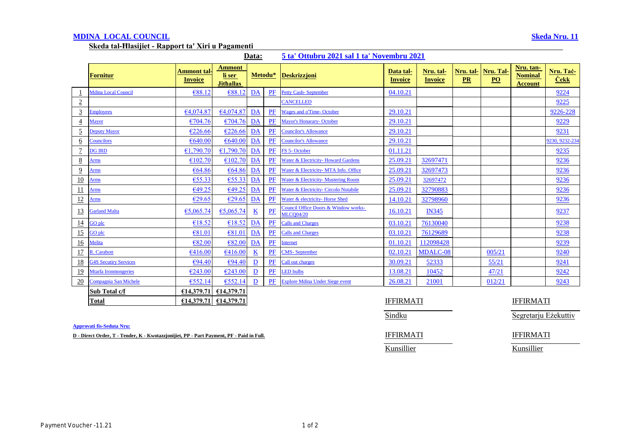## **MDINA LOCAL COUNCIL Skeda Nru. 11**

**Skeda tal-Ħlasijiet - Rapport ta' Xiri u Pagamenti** 

| Data:<br>5 ta' Ottubru 2021 sal 1 ta' Novembru 2021 |
|-----------------------------------------------------|
|-----------------------------------------------------|

|                 | <b>Fornitur</b>              | Ammont tal<br>Invoice | <b>Ammont</b><br>li ser<br><b>Jithallas</b> | Metodu*                  |       | <b>Deskrizzioni</b>                                      | Data tal-<br><b>Invoice</b> | Nru. tal-<br><b>Invoice</b> | Nru. tal-<br>PR | Nru. Tal-<br>$\underline{PO}$ | Nru. tan-<br><b>Nominal</b><br><b>Account</b> | Nru. Tač-<br><b>Cekk</b> |
|-----------------|------------------------------|-----------------------|---------------------------------------------|--------------------------|-------|----------------------------------------------------------|-----------------------------|-----------------------------|-----------------|-------------------------------|-----------------------------------------------|--------------------------|
|                 | <b>Mdina Local Council</b>   | €88.12                | €88.1                                       | <b>DA</b>                | PF    | <b>Petty Cash-September</b>                              | 04.10.21                    |                             |                 |                               |                                               | 9224                     |
| $\overline{2}$  |                              |                       |                                             |                          |       | CANCELLED                                                |                             |                             |                 |                               |                                               | 9225                     |
| $\overline{3}$  | <b>Employees</b>             | 64,074.87             | 64,074.87                                   | DA                       | PF    | <b>Wages and o'Time-October</b>                          | 29.10.21                    |                             |                 |                               |                                               | 9226-228                 |
| $\overline{4}$  | <b>Mayor</b>                 | €704.76               | €704.76                                     | DA                       | PF    | <b>Mayor's Honarary- October</b>                         | 29.10.21                    |                             |                 |                               |                                               | 9229                     |
| $\overline{5}$  | <b>Deputy Mayor</b>          | €226.66               | €226.66                                     | DA                       | PF    | <b>Councilor's Allowance</b>                             | 29.10.21                    |                             |                 |                               |                                               | 9231                     |
| $\underline{6}$ | <b>Councilors</b>            | €640.00               | €640.00                                     | DA                       | PF    | <b>Councilor's Allowance</b>                             | 29.10.21                    |                             |                 |                               |                                               | 9230, 9232-234           |
| $\overline{7}$  | <b>DG IRD</b>                | €1,790.70             | €1,790.70                                   | DA                       | PF    | FS 5-October                                             | 01.11.21                    |                             |                 |                               |                                               | 9235                     |
| $\underline{8}$ | Arms                         | €102.70               | €102.70                                     | DA                       | PF    | Water & Electricity- Howard Gardens                      | 25.09.21                    | 32697471                    |                 |                               |                                               | 9236                     |
| $\overline{9}$  | Arms                         | €64.86                | €64.86                                      | DA                       | PF    | Water & Electricity- MTA Info. Office                    | 25.09.21                    | 32697473                    |                 |                               |                                               | 9236                     |
| 10              | Arms                         | €55.33                | €55.33                                      | DA                       | PF    | Water & Electricity- Mustering Room                      | 25.09.21                    | 32697472                    |                 |                               |                                               | 9236                     |
| 11              | Arms                         | €49.25                | €49.25                                      | DA                       | PF    | Water & Electricity- Circolo Notabile                    | 25.09.21                    | 32790883                    |                 |                               |                                               | 9236                     |
| <u>12</u>       | <u>Arms</u>                  | E29.65                | E29.65                                      | DA                       | PF    | Water & electricity- Horse Shed                          | 14.10.21                    | 32798960                    |                 |                               |                                               | 9236                     |
| <u>13</u>       | <b>Garland Malta</b>         | €5,065.74             | €5,065.74                                   | $\underline{\mathbf{K}}$ | $P$ F | Council Office Doors & Window works-<br><b>MLCO04/20</b> | 16.10.21                    | <b>IN345</b>                |                 |                               |                                               | 9237                     |
| $\overline{14}$ | GO plc                       | €18.52                | £18.52                                      | DA                       | PF    | <b>Calls and Charges</b>                                 | 03.10.21                    | 76130040                    |                 |                               |                                               | 9238                     |
| 15              | GO plc                       | €81.01                | €81.01                                      | DA                       | PF    | <b>Calls and Charges</b>                                 | 03.10.21                    | 76129689                    |                 |                               |                                               | 9238                     |
| 16              | Melita                       | €82.00                | €82.00                                      | DA                       | $P$ F | Internet                                                 | 01.10.21                    | 112098428                   |                 |                               |                                               | 9239                     |
| 17              | R. Carabott                  | €416.00               | €416.00                                     | $\underline{\mathbf{K}}$ | PF    | <b>CMS-September</b>                                     | 02.10.21                    | <b>MDALC-08</b>             |                 | 005/21                        |                                               | 9240                     |
| 18              | <b>G4S Secutiry Services</b> | €94.40                | €94.40                                      | $\overline{\mathbf{D}}$  | PF    | Call out charges                                         | 30.09.21                    | 52333                       |                 | 55/21                         |                                               | 9241                     |
| <u>19</u>       | Mtarfa Ironmongeries         | €243.00               | €243.00                                     | $\underline{\mathbf{D}}$ | PF    | <b>ED</b> bulbs                                          | 13.08.21                    | 10452                       |                 | 47/21                         |                                               | 9242                     |
| 20              | Compagnia San Michele        | €552.14               | €552.14                                     | D                        | PF    | <b>Explore Mdina Under Siege event</b>                   | 26.08.21                    | 21001                       |                 | 012/21                        |                                               | 9243                     |
|                 | Sub Total c/f                | €14,379.71            | €14,379.71                                  |                          |       |                                                          |                             |                             |                 |                               |                                               |                          |
|                 | <b>Total</b>                 | €14,379.71            | €14,379.71                                  |                          |       |                                                          | <b>IFFIRMATI</b>            |                             |                 |                               | <b>IFFIRMATI</b>                              |                          |

**Approvati fis-Seduta Nru:**

**D** - Direct Order, T - Tender, K - Kwotazzjonijiet, PP - Part Payment, PF - Paid in Full. **IFFIRMATI** IFFIRMATI

Sindku Segretarju Eżekuttiv

Kunsillier Kunsillier